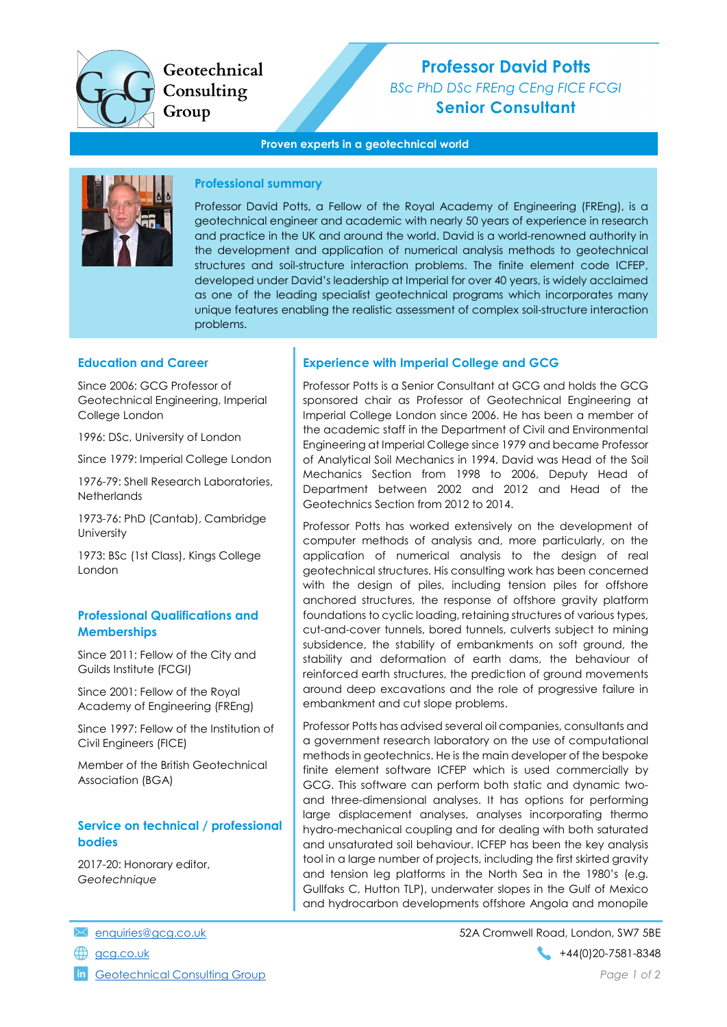

Geotechnical Consulting Group

# Professor David Potts BSc PhD DSc FREng CEng FICE FCGI

Senior Consultant

#### Proven experts in a geotechnical world



#### Professional summary

Professor David Potts, a Fellow of the Royal Academy of Engineering (FREng), is a geotechnical engineer and academic with nearly 50 years of experience in research and practice in the UK and around the world. David is a world-renowned authority in the development and application of numerical analysis methods to geotechnical structures and soil-structure interaction problems. The finite element code ICFEP, developed under David's leadership at Imperial for over 40 years, is widely acclaimed as one of the leading specialist geotechnical programs which incorporates many unique features enabling the realistic assessment of complex soil-structure interaction problems.

#### Education and Career

Since 2006: GCG Professor of Geotechnical Engineering, Imperial College London

1996: DSc, University of London

Since 1979: Imperial College London

1976-79: Shell Research Laboratories, **Netherlands** 

1973-76: PhD (Cantab), Cambridge **University** 

1973: BSc (1st Class), Kings College London

# Professional Qualifications and **Memberships**

Since 2011: Fellow of the City and Guilds Institute (FCGI)

Since 2001: Fellow of the Royal Academy of Engineering (FREng)

Since 1997: Fellow of the Institution of Civil Engineers (FICE)

Member of the British Geotechnical Association (BGA)

# Service on technical / professional bodies

2017-20: Honorary editor, **Geotechnique** 

Geotechnical Consulting Group **Page 1 of 2** and 2 of 2 and 2 of 2 and 2 of 2 and 2 of 2 and 2 of 2 and 2 of 2 and 2 of 2 and 2 of 2 and 2 of 2 and 2 of 2 and 2 of 2 and 2 of 2 and 2 of 2 and 2 of 2 and 2 of 2 and 2 of 2 an

#### Experience with Imperial College and GCG

Professor Potts is a Senior Consultant at GCG and holds the GCG sponsored chair as Professor of Geotechnical Engineering at Imperial College London since 2006. He has been a member of the academic staff in the Department of Civil and Environmental Engineering at Imperial College since 1979 and became Professor of Analytical Soil Mechanics in 1994. David was Head of the Soil Mechanics Section from 1998 to 2006, Deputy Head of Department between 2002 and 2012 and Head of the Geotechnics Section from 2012 to 2014.

Professor Potts has worked extensively on the development of computer methods of analysis and, more particularly, on the application of numerical analysis to the design of real geotechnical structures. His consulting work has been concerned with the design of piles, including tension piles for offshore anchored structures, the response of offshore gravity platform foundations to cyclic loading, retaining structures of various types, cut-and-cover tunnels, bored tunnels, culverts subject to mining subsidence, the stability of embankments on soft ground, the stability and deformation of earth dams, the behaviour of reinforced earth structures, the prediction of ground movements around deep excavations and the role of progressive failure in embankment and cut slope problems.

Professor Potts has advised several oil companies, consultants and a government research laboratory on the use of computational methods in geotechnics. He is the main developer of the bespoke finite element software ICFEP which is used commercially by GCG. This software can perform both static and dynamic twoand three-dimensional analyses. It has options for performing large displacement analyses, analyses incorporating thermo hydro-mechanical coupling and for dealing with both saturated and unsaturated soil behaviour. ICFEP has been the key analysis tool in a large number of projects, including the first skirted gravity and tension leg platforms in the North Sea in the 1980's (e.g. Gullfaks C, Hutton TLP), underwater slopes in the Gulf of Mexico and hydrocarbon developments offshore Angola and monopile